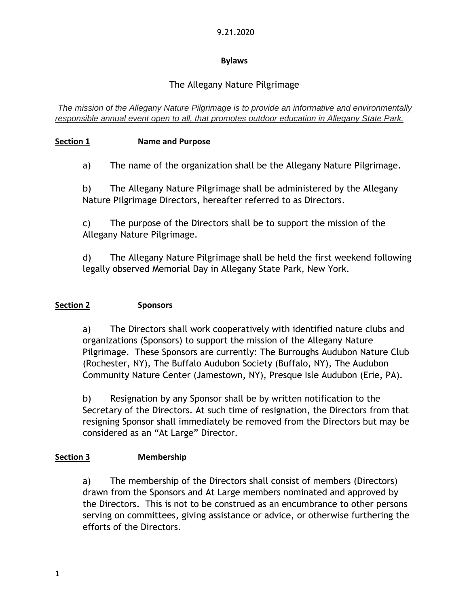## 9.21.2020

## **Bylaws**

# The Allegany Nature Pilgrimage

*The mission of the Allegany Nature Pilgrimage is to provide an informative and environmentally responsible annual event open to all, that promotes outdoor education in Allegany State Park.*

# **Section 1 Name and Purpose**

a) The name of the organization shall be the Allegany Nature Pilgrimage.

b) The Allegany Nature Pilgrimage shall be administered by the Allegany Nature Pilgrimage Directors, hereafter referred to as Directors.

c) The purpose of the Directors shall be to support the mission of the Allegany Nature Pilgrimage.

d) The Allegany Nature Pilgrimage shall be held the first weekend following legally observed Memorial Day in Allegany State Park, New York.

## **Section 2 Sponsors**

a) The Directors shall work cooperatively with identified nature clubs and organizations (Sponsors) to support the mission of the Allegany Nature Pilgrimage. These Sponsors are currently: The Burroughs Audubon Nature Club (Rochester, NY), The Buffalo Audubon Society (Buffalo, NY), The Audubon Community Nature Center (Jamestown, NY), Presque Isle Audubon (Erie, PA).

b) Resignation by any Sponsor shall be by written notification to the Secretary of the Directors. At such time of resignation, the Directors from that resigning Sponsor shall immediately be removed from the Directors but may be considered as an "At Large" Director.

# **Section 3 Membership**

a) The membership of the Directors shall consist of members (Directors) drawn from the Sponsors and At Large members nominated and approved by the Directors. This is not to be construed as an encumbrance to other persons serving on committees, giving assistance or advice, or otherwise furthering the efforts of the Directors.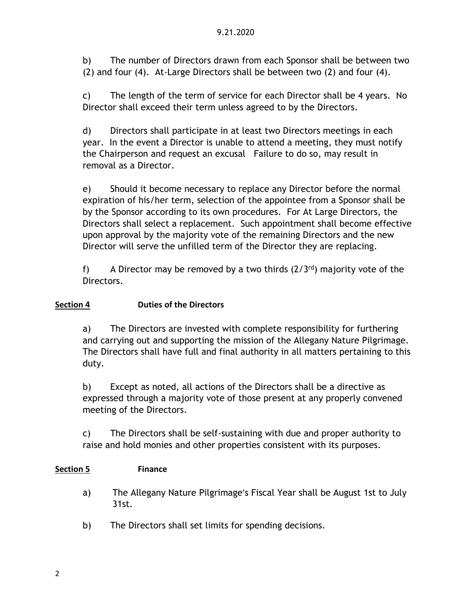b) The number of Directors drawn from each Sponsor shall be between two (2) and four (4). At-Large Directors shall be between two (2) and four (4).

c) The length of the term of service for each Director shall be 4 years. No Director shall exceed their term unless agreed to by the Directors.

d) Directors shall participate in at least two Directors meetings in each year. In the event a Director is unable to attend a meeting, they must notify the Chairperson and request an excusal Failure to do so, may result in removal as a Director.

e) Should it become necessary to replace any Director before the normal expiration of his/her term, selection of the appointee from a Sponsor shall be by the Sponsor according to its own procedures. For At Large Directors, the Directors shall select a replacement. Such appointment shall become effective upon approval by the majority vote of the remaining Directors and the new Director will serve the unfilled term of the Director they are replacing.

f) A Director may be removed by a two thirds  $(2/3^{rd})$  majority vote of the Directors.

# **Section 4 Duties of the Directors**

a) The Directors are invested with complete responsibility for furthering and carrying out and supporting the mission of the Allegany Nature Pilgrimage. The Directors shall have full and final authority in all matters pertaining to this duty.

b) Except as noted, all actions of the Directors shall be a directive as expressed through a majority vote of those present at any properly convened meeting of the Directors.

c) The Directors shall be self-sustaining with due and proper authority to raise and hold monies and other properties consistent with its purposes.

# **Section 5 Finance**

- a) The Allegany Nature Pilgrimage's Fiscal Year shall be August 1st to July 31st.
- b) The Directors shall set limits for spending decisions.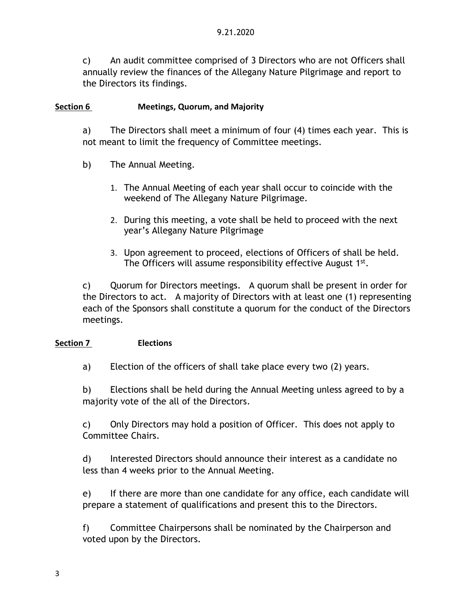c) An audit committee comprised of 3 Directors who are not Officers shall annually review the finances of the Allegany Nature Pilgrimage and report to the Directors its findings.

## **Section 6 Meetings, Quorum, and Majority**

a) The Directors shall meet a minimum of four (4) times each year. This is not meant to limit the frequency of Committee meetings.

- b) The Annual Meeting.
	- 1. The Annual Meeting of each year shall occur to coincide with the weekend of The Allegany Nature Pilgrimage.
	- 2. During this meeting, a vote shall be held to proceed with the next year's Allegany Nature Pilgrimage
	- 3. Upon agreement to proceed, elections of Officers of shall be held. The Officers will assume responsibility effective August 1st.

c) Quorum for Directors meetings. A quorum shall be present in order for the Directors to act. A majority of Directors with at least one (1) representing each of the Sponsors shall constitute a quorum for the conduct of the Directors meetings.

## **Section 7 Elections**

a) Election of the officers of shall take place every two (2) years.

b) Elections shall be held during the Annual Meeting unless agreed to by a majority vote of the all of the Directors.

c) Only Directors may hold a position of Officer. This does not apply to Committee Chairs.

d) Interested Directors should announce their interest as a candidate no less than 4 weeks prior to the Annual Meeting.

e) If there are more than one candidate for any office, each candidate will prepare a statement of qualifications and present this to the Directors.

f) Committee Chairpersons shall be nominated by the Chairperson and voted upon by the Directors.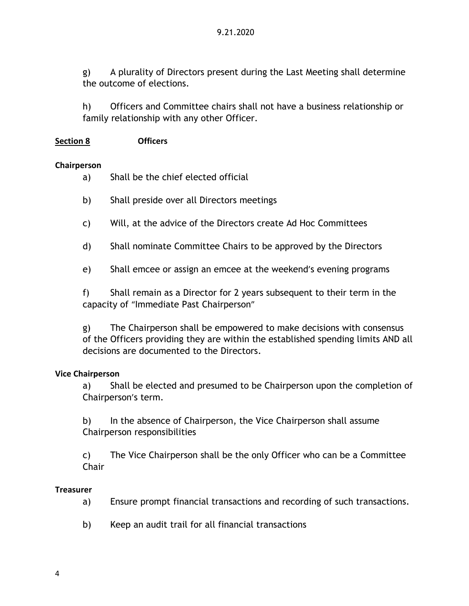g) A plurality of Directors present during the Last Meeting shall determine the outcome of elections.

h) Officers and Committee chairs shall not have a business relationship or family relationship with any other Officer.

## **Section 8 Officers**

#### **Chairperson**

- a) Shall be the chief elected official
- b) Shall preside over all Directors meetings
- c) Will, at the advice of the Directors create Ad Hoc Committees
- d) Shall nominate Committee Chairs to be approved by the Directors
- e) Shall emcee or assign an emcee at the weekend's evening programs

f) Shall remain as a Director for 2 years subsequent to their term in the capacity of "Immediate Past Chairperson"

g) The Chairperson shall be empowered to make decisions with consensus of the Officers providing they are within the established spending limits AND all decisions are documented to the Directors.

## **Vice Chairperson**

a) Shall be elected and presumed to be Chairperson upon the completion of Chairperson's term.

b) In the absence of Chairperson, the Vice Chairperson shall assume Chairperson responsibilities

c) The Vice Chairperson shall be the only Officer who can be a Committee **Chair** 

#### **Treasurer**

- a) Ensure prompt financial transactions and recording of such transactions.
- b) Keep an audit trail for all financial transactions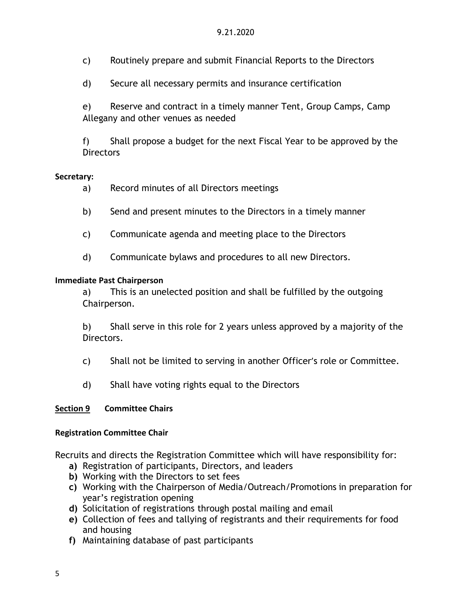- c) Routinely prepare and submit Financial Reports to the Directors
- d) Secure all necessary permits and insurance certification

e) Reserve and contract in a timely manner Tent, Group Camps, Camp Allegany and other venues as needed

f) Shall propose a budget for the next Fiscal Year to be approved by the **Directors** 

#### **Secretary:**

- a) Record minutes of all Directors meetings
- b) Send and present minutes to the Directors in a timely manner
- c) Communicate agenda and meeting place to the Directors
- d) Communicate bylaws and procedures to all new Directors.

#### **Immediate Past Chairperson**

a) This is an unelected position and shall be fulfilled by the outgoing Chairperson.

b) Shall serve in this role for 2 years unless approved by a majority of the Directors.

- c) Shall not be limited to serving in another Officer's role or Committee.
- d) Shall have voting rights equal to the Directors

## **Section 9 Committee Chairs**

#### **Registration Committee Chair**

Recruits and directs the Registration Committee which will have responsibility for:

- **a)** Registration of participants, Directors, and leaders
- **b)** Working with the Directors to set fees
- **c)** Working with the Chairperson of Media/Outreach/Promotions in preparation for year's registration opening
- **d)** Solicitation of registrations through postal mailing and email
- **e)** Collection of fees and tallying of registrants and their requirements for food and housing
- **f)** Maintaining database of past participants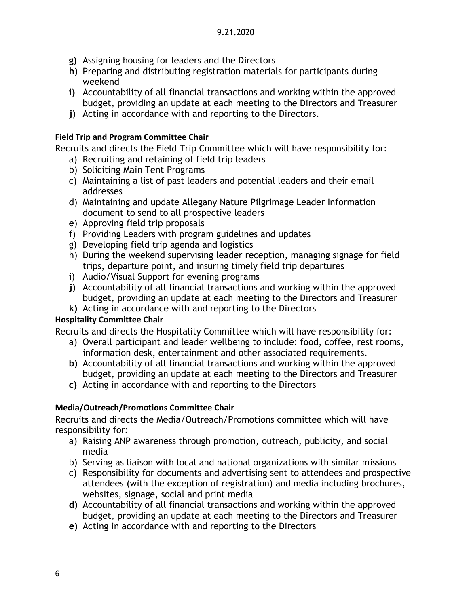- **g)** Assigning housing for leaders and the Directors
- **h)** Preparing and distributing registration materials for participants during weekend
- **i)** Accountability of all financial transactions and working within the approved budget, providing an update at each meeting to the Directors and Treasurer
- **j)** Acting in accordance with and reporting to the Directors.

## **Field Trip and Program Committee Chair**

Recruits and directs the Field Trip Committee which will have responsibility for:

- a) Recruiting and retaining of field trip leaders
- b) Soliciting Main Tent Programs
- c) Maintaining a list of past leaders and potential leaders and their email addresses
- d) Maintaining and update Allegany Nature Pilgrimage Leader Information document to send to all prospective leaders
- e) Approving field trip proposals
- f) Providing Leaders with program guidelines and updates
- g) Developing field trip agenda and logistics
- h) During the weekend supervising leader reception, managing signage for field trips, departure point, and insuring timely field trip departures
- i) Audio/Visual Support for evening programs
- **j)** Accountability of all financial transactions and working within the approved budget, providing an update at each meeting to the Directors and Treasurer
- **k)** Acting in accordance with and reporting to the Directors

## **Hospitality Committee Chair**

Recruits and directs the Hospitality Committee which will have responsibility for:

- a) Overall participant and leader wellbeing to include: food, coffee, rest rooms, information desk, entertainment and other associated requirements.
- **b)** Accountability of all financial transactions and working within the approved budget, providing an update at each meeting to the Directors and Treasurer
- **c)** Acting in accordance with and reporting to the Directors

# **Media/Outreach/Promotions Committee Chair**

Recruits and directs the Media/Outreach/Promotions committee which will have responsibility for:

- a) Raising ANP awareness through promotion, outreach, publicity, and social media
- b) Serving as liaison with local and national organizations with similar missions
- c) Responsibility for documents and advertising sent to attendees and prospective attendees (with the exception of registration) and media including brochures, websites, signage, social and print media
- **d)** Accountability of all financial transactions and working within the approved budget, providing an update at each meeting to the Directors and Treasurer
- **e)** Acting in accordance with and reporting to the Directors